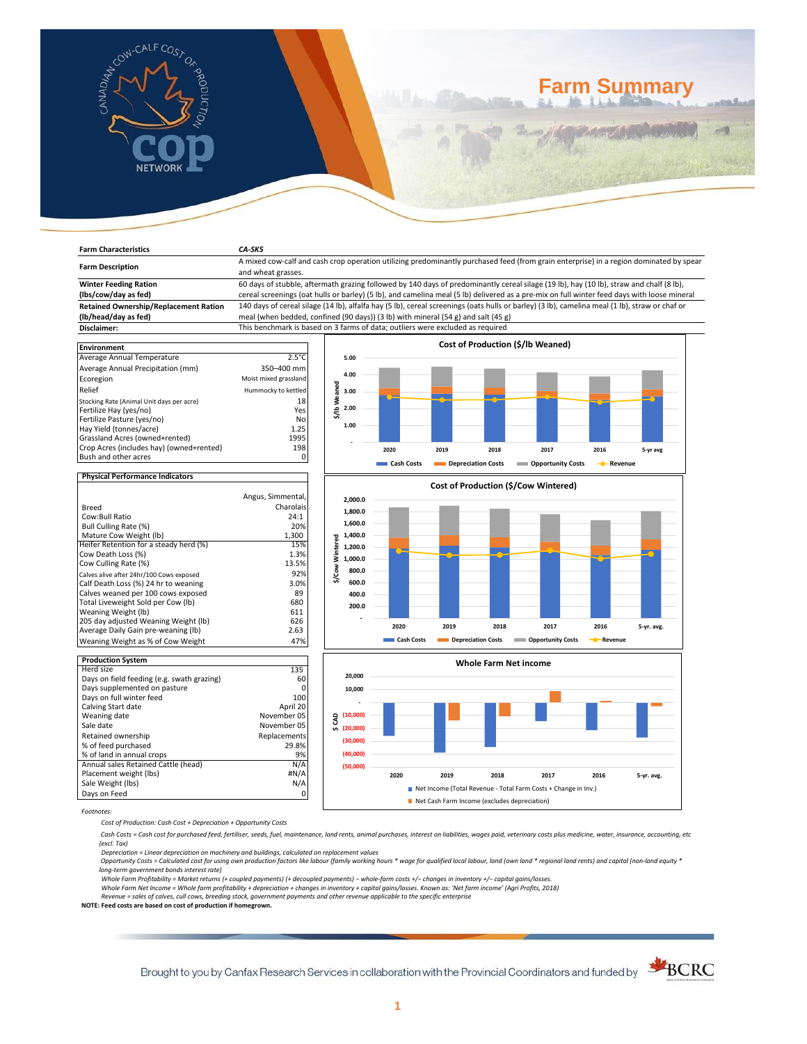

**Farm Characteristics** *CA-SK5*

# **Farm Summary**

| <b>Farm Description</b>                      | A mixed cow-calf and cash crop operation utilizing predominantly purchased feed (from grain enterprise) in a region dominated by spear<br>and wheat grasses. |                      |                                      |                           |      |                                   |           |          |  |
|----------------------------------------------|--------------------------------------------------------------------------------------------------------------------------------------------------------------|----------------------|--------------------------------------|---------------------------|------|-----------------------------------|-----------|----------|--|
| <b>Winter Feeding Ration</b>                 | 60 days of stubble, aftermath grazing followed by 140 days of predominantly cereal silage (19 lb), hay (10 lb), straw and chalf (8 lb),                      |                      |                                      |                           |      |                                   |           |          |  |
| (lbs/cow/day as fed)                         | cereal screenings (oat hulls or barley) (5 lb), and camelina meal (5 lb) delivered as a pre-mix on full winter feed days with loose mineral                  |                      |                                      |                           |      |                                   |           |          |  |
| <b>Retained Ownership/Replacement Ration</b> | 140 days of cereal silage (14 lb), alfalfa hay (5 lb), cereal screenings (oats hulls or barley) (3 lb), camelina meal (1 lb), straw or chaf or               |                      |                                      |                           |      |                                   |           |          |  |
| (lb/head/day as fed)                         | meal (when bedded, confined (90 days)) (3 lb) with mineral $(54 g)$ and salt $(45 g)$                                                                        |                      |                                      |                           |      |                                   |           |          |  |
| Disclaimer:                                  | This benchmark is based on 3 farms of data; outliers were excluded as required                                                                               |                      |                                      |                           |      |                                   |           |          |  |
|                                              |                                                                                                                                                              |                      |                                      |                           |      | Cost of Production (\$/lb Weaned) |           |          |  |
| <b>Environment</b>                           |                                                                                                                                                              |                      |                                      |                           |      |                                   |           |          |  |
| Average Annual Temperature                   | $2.5^{\circ}$ C                                                                                                                                              | 5.00                 |                                      |                           |      |                                   |           |          |  |
| Average Annual Precipitation (mm)            | 350-400 mm                                                                                                                                                   | 4.00                 |                                      |                           |      |                                   |           |          |  |
| Ecoregion                                    | Moist mixed grassland                                                                                                                                        |                      |                                      |                           |      |                                   |           |          |  |
| Relief                                       | Hummocky to kettled                                                                                                                                          | \$/lb Weaned<br>3.00 |                                      |                           |      |                                   |           |          |  |
| Stocking Rate (Animal Unit days per acre)    | 18                                                                                                                                                           |                      |                                      |                           |      |                                   |           |          |  |
| Fertilize Hay (yes/no)                       | Yes                                                                                                                                                          | 2.00                 |                                      |                           |      |                                   |           |          |  |
| Fertilize Pasture (yes/no)                   | No                                                                                                                                                           | 1.00                 |                                      |                           |      |                                   |           |          |  |
| Hay Yield (tonnes/acre)                      | 1.25                                                                                                                                                         |                      |                                      |                           |      |                                   |           |          |  |
| Grassland Acres (owned+rented)               | 1995                                                                                                                                                         |                      |                                      |                           |      |                                   |           |          |  |
| Crop Acres (includes hay) (owned+rented)     | 198                                                                                                                                                          |                      | 2020                                 | 2019                      | 2018 | 2017                              | 2016      | 5-yr avg |  |
| Bush and other acres                         | $\Omega$                                                                                                                                                     |                      | Cash Costs                           | <b>Depreciation Costs</b> |      | Opportunity Costs                 | - Revenue |          |  |
| <b>Physical Performance Indicators</b>       |                                                                                                                                                              |                      |                                      |                           |      |                                   |           |          |  |
|                                              |                                                                                                                                                              |                      | Cost of Production (\$/Cow Wintered) |                           |      |                                   |           |          |  |
|                                              | Angus, Simmental,                                                                                                                                            | 2,000.0              |                                      |                           |      |                                   |           |          |  |
| <b>Breed</b>                                 | Charolais                                                                                                                                                    | 1,800.0              |                                      |                           |      |                                   |           |          |  |
| Cow:Bull Ratio                               | 24:1                                                                                                                                                         |                      |                                      |                           |      |                                   |           |          |  |
| Bull Culling Rate (%)                        | 20%                                                                                                                                                          | 1,600.0              |                                      |                           |      |                                   |           |          |  |
| Mature Cow Weight (lb)                       | 1,300                                                                                                                                                        | 1,400.0              |                                      |                           |      |                                   |           |          |  |
| Heifer Retention for a steady herd (%)       | 15%                                                                                                                                                          | intered<br>1,200.0   |                                      |                           |      |                                   |           |          |  |
| Cow Death Loss (%)                           | 1.3%                                                                                                                                                         |                      |                                      |                           |      |                                   |           |          |  |





*Footnotes:*

*Cost of Production: Cash Cost + Depreciation + Opportunity Costs*

Cow Death Loss (%) and the compact of the compact of the compact of the compact of the compact of the compact of the compact of the compact of the compact of the compact of the compact of the compact of the compact of the Cow Culling Rate (%) 13.5%<br>Calves alive after 24hr/100 Cows exposed 13.5% 13.5% Calves alive after 24hr/100 Cows exposed 92% 92% 92% Calf Death Loss (%) 24 hr to weaning 3.0% Calves weaned per 100 cows exposed 89 Total Liveweight Sold per Cow (lb) 680 Weaning Weight (lb)<br>205 day adjusted Weaning Weight (lb) 626 (1626) 205 day adjusted Weaning Weight (lb) 626<br>Average Daily Gain pre-weaning (lb) 626

Weaning Weight as % of Cow Weight 47%

Herd size 135 Days on field feeding (e.g. swath grazing) 60 Days supplemented on pasture 0 Days on full winter feed 100 Calving Start date April 20<br>
Movember 05 November 05

Retained ownership **Replacements**<br>% of feed purchased **Replacements** 29.8% % of feed purchased 29.8%<br>% of land in annual crops 29% % of land in annual crops<br>Annual sales Retained Cattle (head) M/A Annual sales Retained Cattle (head) N/A Placement weight (lbs) #N/A Sale Weight (lbs) N/A Days on Feed 0

Average Daily Gain pre-weaning (lb)

**Production System**

Weaning date<br>Sale date

 *Cash Costs = Cash cost for purchased feed, fertiliser, seeds, fuel, maintenance, land rents, animal purchases, interest on liabilities, wages paid, veterinary costs plus medicine, water, insurance, accounting, etc (excl. Tax)* 

November 05

Depreciation = Linear depreciation on machinery and buildings, calculated on replacement values<br>Opportunity Costs = Calculated cost for using own production factors like labour (family working hours \* wage for qualified lo *long-term government bonds interest rate)* 

*Whole Farm Profitability = Market returns (+ coupled payments) (+ decoupled payments) − whole-farm costs +/− changes in inventory +/− capital gains/losses.*

*Whole Farm Net Income = Whole farm profitability + depreciation + changes in inventory + capital gains/losses. Known as: 'Net farm income' (Agri Profits, 2018) Revenue = sales of calves, cull cows, breeding stock, government payments and other revenue applicable to the specific enterprise*

**NOTE: Feed costs are based on cost of production if homegrown.**

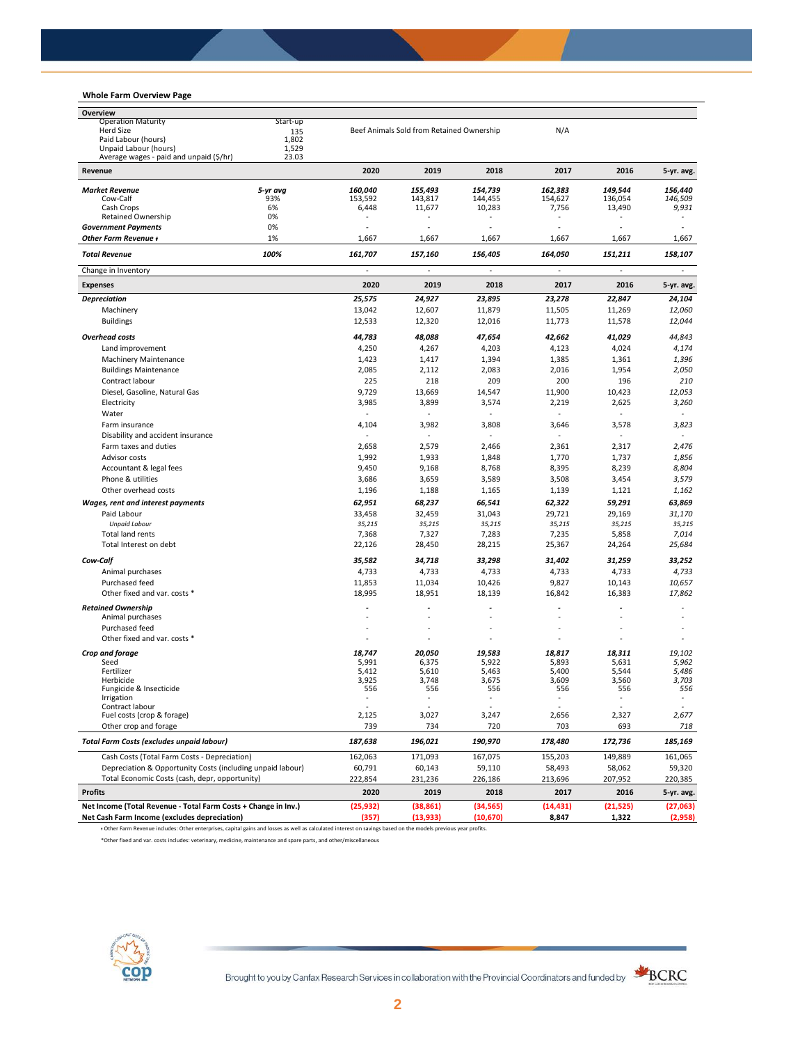## **Whole Farm Overview Page**

| Overview                                                                                         |          |                |                                           |                |                |                |                          |
|--------------------------------------------------------------------------------------------------|----------|----------------|-------------------------------------------|----------------|----------------|----------------|--------------------------|
| <b>Operation Maturity</b><br>Start-up<br><b>Herd Size</b><br>135<br>Paid Labour (hours)<br>1,802 |          |                |                                           |                |                |                |                          |
|                                                                                                  |          |                | Beef Animals Sold from Retained Ownership |                | N/A            |                |                          |
| Unpaid Labour (hours)                                                                            | 1,529    |                |                                           |                |                |                |                          |
| Average wages - paid and unpaid (\$/hr)                                                          | 23.03    |                |                                           |                |                |                |                          |
| Revenue                                                                                          |          | 2020           | 2019                                      | 2018           | 2017           | 2016           | 5-yr. avg.               |
| <b>Market Revenue</b>                                                                            | 5-yr avg | 160,040        | 155,493                                   | 154.739        | 162.383        | 149,544        | 156.440                  |
| Cow-Calf                                                                                         | 93%      | 153,592        | 143,817                                   | 144,455        | 154,627        | 136,054        | 146,509                  |
| Cash Crops                                                                                       | 6%       | 6,448          | 11,677                                    | 10,283         | 7,756          | 13,490         | 9,931                    |
| Retained Ownership                                                                               | 0%<br>0% | ä,             |                                           |                |                |                |                          |
| <b>Government Payments</b><br>Other Farm Revenue +                                               | 1%       | 1,667          | 1,667                                     | 1,667          | 1,667          | 1,667          | 1,667                    |
| <b>Total Revenue</b>                                                                             | 100%     | 161,707        | 157,160                                   | 156,405        | 164,050        | 151,211        | 158,107                  |
| Change in Inventory                                                                              |          | ä,             | ä,                                        | ÷,             | $\omega$       | ÷,             | $\blacksquare$           |
| <b>Expenses</b>                                                                                  |          | 2020           | 2019                                      | 2018           | 2017           | 2016           | 5-yr. avg.               |
| <b>Depreciation</b>                                                                              |          | 25,575         | 24,927                                    | 23,895         | 23,278         | 22,847         | 24,104                   |
| Machinery                                                                                        |          | 13,042         | 12,607                                    | 11,879         | 11,505         | 11,269         | 12,060                   |
| <b>Buildings</b>                                                                                 |          | 12,533         | 12,320                                    | 12,016         | 11,773         | 11,578         | 12,044                   |
| <b>Overhead costs</b>                                                                            |          | 44,783         | 48,088                                    | 47,654         | 42,662         | 41,029         | 44,843                   |
| Land improvement                                                                                 |          | 4,250          | 4,267                                     | 4,203          | 4,123          | 4,024          | 4,174                    |
| <b>Machinery Maintenance</b>                                                                     |          | 1,423          | 1,417                                     | 1,394          | 1,385          | 1,361          | 1,396                    |
| <b>Buildings Maintenance</b>                                                                     |          | 2,085          | 2,112                                     | 2,083          | 2,016          | 1,954          | 2,050                    |
| Contract labour                                                                                  |          | 225            | 218                                       | 209            | 200            | 196            | 210                      |
| Diesel, Gasoline, Natural Gas                                                                    |          | 9,729          | 13,669                                    | 14,547         | 11,900         | 10,423         | 12,053                   |
| Electricity                                                                                      |          | 3,985          | 3,899                                     | 3,574          | 2,219          | 2,625          | 3,260                    |
| Water                                                                                            |          | ä,             | L.                                        |                | $\sim$         | $\sim$         |                          |
| Farm insurance                                                                                   |          | 4,104          | 3,982                                     | 3,808          | 3,646          | 3,578          | 3,823                    |
| Disability and accident insurance                                                                |          | ٠              |                                           |                |                |                |                          |
| Farm taxes and duties                                                                            |          | 2,658          | 2,579                                     | 2,466          | 2,361          | 2,317          | 2,476                    |
| Advisor costs                                                                                    |          | 1,992          | 1,933                                     | 1,848          | 1,770          | 1,737          | 1,856                    |
| Accountant & legal fees                                                                          |          | 9,450          | 9,168                                     | 8,768          | 8,395          | 8,239          | 8,804                    |
| Phone & utilities                                                                                |          | 3,686          | 3,659                                     | 3,589          | 3,508          | 3,454          | 3,579                    |
| Other overhead costs                                                                             |          | 1,196          | 1,188                                     | 1,165          | 1,139          | 1,121          | 1,162                    |
| Wages, rent and interest payments                                                                |          | 62,951         | 68,237                                    | 66,541         | 62,322         | 59,291         | 63,869                   |
| Paid Labour                                                                                      |          | 33,458         | 32,459                                    | 31,043         | 29,721         | 29,169         | 31,170                   |
| <b>Unpaid Labour</b>                                                                             |          | 35,215         | 35,215                                    | 35,215         | 35,215         | 35,215         | 35,215                   |
| Total land rents                                                                                 |          | 7,368          | 7,327                                     | 7,283          | 7,235          | 5,858          | 7,014                    |
| Total Interest on debt                                                                           |          | 22,126         | 28,450                                    | 28,215         | 25,367         | 24,264         | 25,684                   |
| Cow-Calf                                                                                         |          | 35,582         | 34,718                                    | 33,298         | 31,402         | 31,259         | 33,252                   |
| Animal purchases                                                                                 |          | 4,733          | 4,733                                     | 4,733          | 4,733          | 4,733          | 4,733                    |
| Purchased feed                                                                                   |          | 11,853         | 11,034                                    | 10,426         | 9,827          | 10,143         | 10,657                   |
| Other fixed and var. costs *                                                                     |          | 18,995         | 18,951                                    | 18,139         | 16,842         | 16,383         | 17,862                   |
| <b>Retained Ownership</b>                                                                        |          |                |                                           |                |                |                |                          |
| Animal purchases                                                                                 |          |                |                                           |                |                |                |                          |
| Purchased feed                                                                                   |          | ٠              | ä,                                        |                |                |                |                          |
| Other fixed and var. costs *                                                                     |          |                |                                           |                |                |                |                          |
| Crop and forage                                                                                  |          | 18,747         | 20,050                                    | 19,583         | 18,817         | 18,311         | 19,102                   |
| Seed                                                                                             |          | 5,991          | 6,375                                     | 5,922          | 5,893          | 5,631          | 5,962                    |
| Fertilizer<br>Herbicide                                                                          |          | 5,412<br>3,925 | 5,610<br>3,748                            | 5,463<br>3,675 | 5,400<br>3,609 | 5,544<br>3,560 | 5,486<br>3,703           |
| Fungicide & Insecticide                                                                          |          | 556            | 556                                       | 556            | 556            | 556            | 556                      |
| Irrigation                                                                                       |          |                |                                           |                |                |                | $\overline{\phantom{a}}$ |
| Contract labour                                                                                  |          |                |                                           |                |                |                |                          |
| Fuel costs (crop & forage)<br>Other crop and forage                                              |          | 2,125<br>739   | 3,027<br>734                              | 3,247<br>720   | 2,656<br>703   | 2,327<br>693   | 2,677<br>718             |
| Total Farm Costs (excludes unpaid labour)                                                        |          | 187,638        | 196,021                                   | 190,970        | 178,480        | 172,736        | 185,169                  |
| Cash Costs (Total Farm Costs - Depreciation)                                                     |          | 162,063        | 171,093                                   | 167,075        | 155,203        | 149,889        | 161,065                  |
| Depreciation & Opportunity Costs (including unpaid labour)                                       |          | 60,791         | 60,143                                    | 59,110         | 58,493         | 58,062         | 59,320                   |
| Total Economic Costs (cash, depr, opportunity)                                                   |          | 222,854        | 231,236                                   | 226,186        | 213,696        | 207,952        | 220,385                  |
| <b>Profits</b>                                                                                   |          | 2020           | 2019                                      | 2018           | 2017           | 2016           | 5-yr. avg.               |
| Net Income (Total Revenue - Total Farm Costs + Change in Inv.)                                   |          | (25, 932)      | (38, 861)                                 | (34, 565)      | (14, 431)      | (21, 525)      | (27,063)                 |
| Net Cash Farm Income (excludes depreciation)                                                     |          | (357)          | (13, 933)                                 | (10, 670)      | 8,847          | 1,322          | (2,958)                  |

ᵻ Other Farm Revenue includes: Other enterprises, capital gains and losses as well as calculated interest on savings based on the models previous year profits.

\*Other fixed and var. costs includes: veterinary, medicine, maintenance and spare parts, and other/miscellaneous

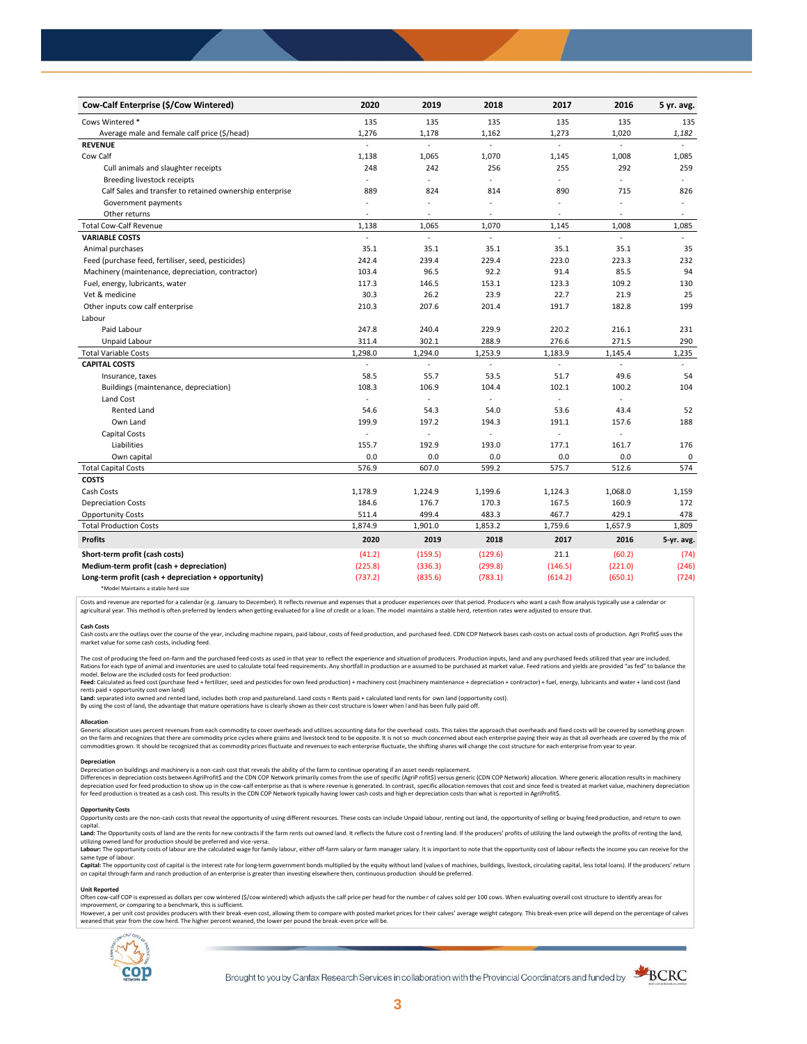| Cow-Calf Enterprise (\$/Cow Wintered)                    | 2020                     | 2019    | 2018                     | 2017           | 2016           | 5 yr. avg.               |
|----------------------------------------------------------|--------------------------|---------|--------------------------|----------------|----------------|--------------------------|
| Cows Wintered *                                          | 135                      | 135     | 135                      | 135            | 135            | 135                      |
| Average male and female calf price (\$/head)             | 1,276                    | 1,178   | 1,162                    | 1,273          | 1,020          | 1,182                    |
| <b>REVENUE</b>                                           | $\overline{a}$           | L.      | $\overline{a}$           | $\overline{a}$ | $\mathcal{L}$  |                          |
| Cow Calf                                                 | 1,138                    | 1,065   | 1,070                    | 1,145          | 1,008          | 1,085                    |
| Cull animals and slaughter receipts                      | 248                      | 242     | 256                      | 255            | 292            | 259                      |
| Breeding livestock receipts                              | ÷.                       | ä,      | $\overline{a}$           | ÷              | ÷,             |                          |
| Calf Sales and transfer to retained ownership enterprise | 889                      | 824     | 814                      | 890            | 715            | 826                      |
| Government payments                                      | ÷,                       | ÷,      | $\ddot{\phantom{1}}$     | $\sim$         | ÷,             | $\bar{a}$                |
| Other returns                                            | ٠                        | ä,      | $\overline{\phantom{a}}$ | $\sim$         | $\overline{a}$ | $\overline{\phantom{a}}$ |
| <b>Total Cow-Calf Revenue</b>                            | 1,138                    | 1,065   | 1,070                    | 1,145          | 1,008          | 1,085                    |
| <b>VARIABLE COSTS</b>                                    | L.                       | L.      | $\mathcal{L}$            | L.             | ä,             | $\omega$                 |
| Animal purchases                                         | 35.1                     | 35.1    | 35.1                     | 35.1           | 35.1           | 35                       |
| Feed (purchase feed, fertiliser, seed, pesticides)       | 242.4                    | 239.4   | 229.4                    | 223.0          | 223.3          | 232                      |
| Machinery (maintenance, depreciation, contractor)        | 103.4                    | 96.5    | 92.2                     | 91.4           | 85.5           | 94                       |
| Fuel, energy, lubricants, water                          | 117.3                    | 146.5   | 153.1                    | 123.3          | 109.2          | 130                      |
| Vet & medicine                                           | 30.3                     | 26.2    | 23.9                     | 22.7           | 21.9           | 25                       |
| Other inputs cow calf enterprise                         | 210.3                    | 207.6   | 201.4                    | 191.7          | 182.8          | 199                      |
| Labour                                                   |                          |         |                          |                |                |                          |
| Paid Labour                                              | 247.8                    | 240.4   | 229.9                    | 220.2          | 216.1          | 231                      |
| Unpaid Labour                                            | 311.4                    | 302.1   | 288.9                    | 276.6          | 271.5          | 290                      |
| <b>Total Variable Costs</b>                              | 1,298.0                  | 1,294.0 | 1,253.9                  | 1,183.9        | 1,145.4        | 1,235                    |
| <b>CAPITAL COSTS</b>                                     |                          |         |                          |                |                |                          |
| Insurance, taxes                                         | 58.5                     | 55.7    | 53.5                     | 51.7           | 49.6           | 54                       |
| Buildings (maintenance, depreciation)                    | 108.3                    | 106.9   | 104.4                    | 102.1          | 100.2          | 104                      |
| Land Cost                                                | $\blacksquare$           | ÷,      |                          |                |                |                          |
| <b>Rented Land</b>                                       | 54.6                     | 54.3    | 54.0                     | 53.6           | 43.4           | 52                       |
| Own Land                                                 | 199.9                    | 197.2   | 194.3                    | 191.1          | 157.6          | 188                      |
| Capital Costs                                            | $\overline{\phantom{a}}$ |         |                          | ÷.             | J.             |                          |
| Liabilities                                              | 155.7                    | 192.9   | 193.0                    | 177.1          | 161.7          | 176                      |
| Own capital                                              | 0.0                      | 0.0     | 0.0                      | 0.0            | 0.0            | $\mathsf 0$              |
| <b>Total Capital Costs</b>                               | 576.9                    | 607.0   | 599.2                    | 575.7          | 512.6          | 574                      |
| <b>COSTS</b>                                             |                          |         |                          |                |                |                          |
| Cash Costs                                               | 1,178.9                  | 1,224.9 | 1,199.6                  | 1,124.3        | 1,068.0        | 1,159                    |
| <b>Depreciation Costs</b>                                | 184.6                    | 176.7   | 170.3                    | 167.5          | 160.9          | 172                      |
| <b>Opportunity Costs</b>                                 | 511.4                    | 499.4   | 483.3                    | 467.7          | 429.1          | 478                      |
| <b>Total Production Costs</b>                            | 1,874.9                  | 1,901.0 | 1,853.2                  | 1,759.6        | 1,657.9        | 1,809                    |
| <b>Profits</b>                                           | 2020                     | 2019    | 2018                     | 2017           | 2016           | 5-yr. avg.               |
| Short-term profit (cash costs)                           | (41.2)                   | (159.5) | (129.6)                  | 21.1           | (60.2)         | (74)                     |
| Medium-term profit (cash + depreciation)                 | (225.8)                  | (336.3) | (299.8)                  | (146.5)        | (221.0)        | (246)                    |
| Long-term profit (cash + depreciation + opportunity)     | (737.2)                  | (835.6) | (783.1)                  | (614.2)        | (650.1)        | (724)                    |
|                                                          |                          |         |                          |                |                |                          |

\*Model Maintains a stable herd size

Costs and revenue are reported for a calendar (e.g. January to December). It reflects revenue and expenses that a producer experiences over that period. Producers who want a cash flow analysis typically use a calendar or agricultural year. This method is often preferred by lenders when getting evaluated for a line of credit or a loan. The model maintains a stable herd, retention rates were adjusted to ensure that

C<mark>ash Costs</mark><br>Cash costs are the outlays over the course of the year, including machine repairs, paid labour, costs of feed production, and purchased feed. CDN COP Network bases cash costs on actual costs of production. Agr market value for some cash costs, including feed.

The cost of producing the feed on-farm and the purchased feed costs as used in that year to reflect the experience and situation of producers. Production inputs, land and any purchased feeds utilized that year are included model. Below are the included costs for feed production:

moder.outwhat was made used to receip would continuour.<br>**Feed:** Calculated as feed cost (purchase feed + fertilizer, seed and pesticides for own feed production) + machinery cost (machinery maintenance + depreciation + con rents paid + opportunity cost own land)

**Land:** separated into owned and rented land, includes both crop and pastureland. Land costs = Rents paid + calculated land rents for own land (opportunity cost).

By using the cost of land, the advantage that mature operations have is clearly shown as their cost structure is lower when l and has been fully paid off.

## **Allocation**

Generic allocation uses percent revenues from each commodity to cover overheads and utilizes accounting data for the overhead costs. This takes the approach that overheads and fixed costs will be covered by something grown commodities grown. It should be recognized that as commodity prices fluctuate and revenues to each enterprise fluctuate, the shifting shares will change the cost structure for each enterprise from year to year.

## **Depreciation**

Depreciation on buildings and machinery is a non-cash cost that reveals the ability of the farm to continue operating if an asset needs replacement. Differences in depreciation costs between AgriProfit\$ and the CDN COP Network primarily comes from the use of specific (AgriP rofit\$) versus generic (CDN COP Network) allocation. Where generic allocation results in machine

#### **Opportunity Costs**

Provincing COSS are the non-cash costs that reveal the opportunity of using different resources. These costs can include Unpaid labour, renting out land, the opportunity of selling or buying feed production, and return to capital.

required.<br>Land: The Opportunity costs of land are the rents for new contracts if the farm rents out owned land. It reflects the future cost of renting land. If the producers' profits of utilizing the land outweigh the prof utilizing owned land for production should be preferred and vice-versa.<br>**Labour:** The opportunity costs of labour are the calculated wage for family labour, either off-farm salary or farm manager salary. It is important to

same type of labour.

**Capita**l: The opportunity cost of capital is the interest rate for long-term government bonds multiplied by the equity without land (values of machines, buildings, livestock, circulating capital, less total loans). If the

#### **Unit Reported**

Often cow-calf COP is expressed as dollars per cow wintered (\$/cow wintered) which adjusts the calf price per head for the number of calves sold per 100 cows. When evaluating overall cost structure to identify areas for<br>im

however..export of the structure with the structure of the break-even cost. allowing them to compare with posted market prices for their calves' average weight category. This break-even price will depend on the percentage weaned that year from the cow herd. The higher percent weaned, the lower per pound the break -even price will be.



Brought to you by Canfax Research Services in collaboration with the Provincial Coordinators and funded by